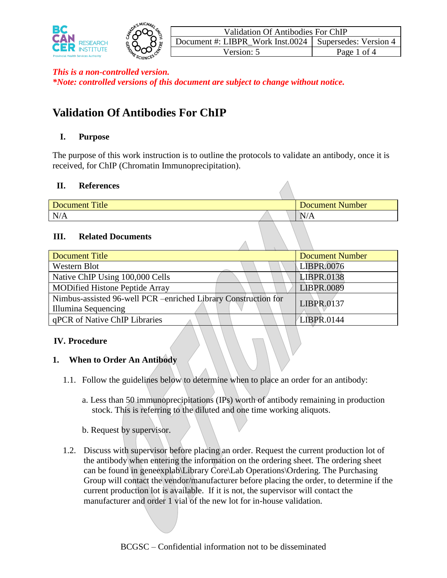

# **Validation Of Antibodies For ChIP**

## **I. Purpose**

The purpose of this work instruction is to outline the protocols to validate an antibody, once it is received, for ChIP (Chromatin Immunoprecipitation).

#### **II. References**

| Title<br><b>Document</b> | <b>Document Number</b> |
|--------------------------|------------------------|
| N/A                      | $^{\prime}/A$          |
|                          |                        |

## **III. Related Documents**

| Document Title                                                 | <b>Document Number</b> |
|----------------------------------------------------------------|------------------------|
| Western Blot                                                   | LIBPR.0076             |
| Native ChIP Using 100,000 Cells                                | <b>LIBPR.0138</b>      |
| <b>MODified Histone Peptide Array</b>                          | LIBPR.0089             |
| Nimbus-assisted 96-well PCR -enriched Library Construction for | LIBPR.0137             |
| Illumina Sequencing                                            |                        |
| qPCR of Native ChIP Libraries                                  | LIBPR.0144             |

## **IV. Procedure**

## **1. When to Order An Antibody**

- 1.1. Follow the guidelines below to determine when to place an order for an antibody:
	- a. Less than 50 immunoprecipitations (IPs) worth of antibody remaining in production stock. This is referring to the diluted and one time working aliquots.
	- b. Request by supervisor.
- 1.2. Discuss with supervisor before placing an order. Request the current production lot of the antibody when entering the information on the ordering sheet. The ordering sheet can be found in geneexplab\Library Core\Lab Operations\Ordering. The Purchasing Group will contact the vendor/manufacturer before placing the order, to determine if the current production lot is available. If it is not, the supervisor will contact the manufacturer and order 1 vial of the new lot for in-house validation.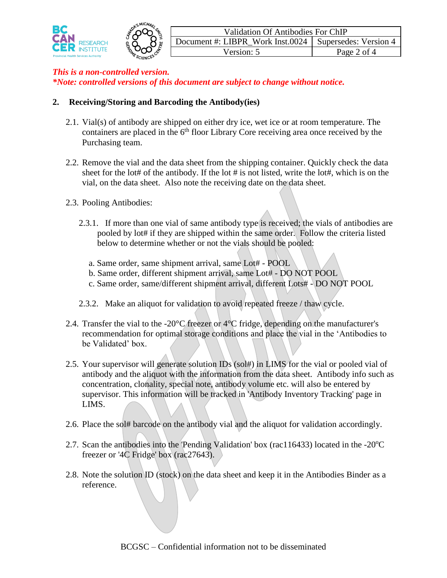

#### **2. Receiving/Storing and Barcoding the Antibody(ies)**

- 2.1. Vial(s) of antibody are shipped on either dry ice, wet ice or at room temperature. The containers are placed in the  $6<sup>th</sup>$  floor Library Core receiving area once received by the Purchasing team.
- 2.2. Remove the vial and the data sheet from the shipping container. Quickly check the data sheet for the lot# of the antibody. If the lot # is not listed, write the lot#, which is on the vial, on the data sheet. Also note the receiving date on the data sheet.
- 2.3. Pooling Antibodies:
	- 2.3.1. If more than one vial of same antibody type is received; the vials of antibodies are pooled by lot# if they are shipped within the same order. Follow the criteria listed below to determine whether or not the vials should be pooled:
		- a. Same order, same shipment arrival, same Lot# POOL
		- b. Same order, different shipment arrival, same Lot# DO NOT POOL
		- c. Same order, same/different shipment arrival, different Lots# DO NOT POOL
	- 2.3.2. Make an aliquot for validation to avoid repeated freeze / thaw cycle.
- 2.4. Transfer the vial to the -20 $\degree$ C freezer or 4 $\degree$ C fridge, depending on the manufacturer's recommendation for optimal storage conditions and place the vial in the 'Antibodies to be Validated' box.
- 2.5. Your supervisor will generate solution IDs (sol#) in LIMS for the vial or pooled vial of antibody and the aliquot with the information from the data sheet. Antibody info such as concentration, clonality, special note, antibody volume etc. will also be entered by supervisor. This information will be tracked in 'Antibody Inventory Tracking' page in LIMS.
- 2.6. Place the sol# barcode on the antibody vial and the aliquot for validation accordingly.
- 2.7. Scan the antibodies into the 'Pending Validation' box (rac116433) located in the  $-20^{\circ}$ C freezer or '4C Fridge' box (rac27643).
- 2.8. Note the solution ID (stock) on the data sheet and keep it in the Antibodies Binder as a reference.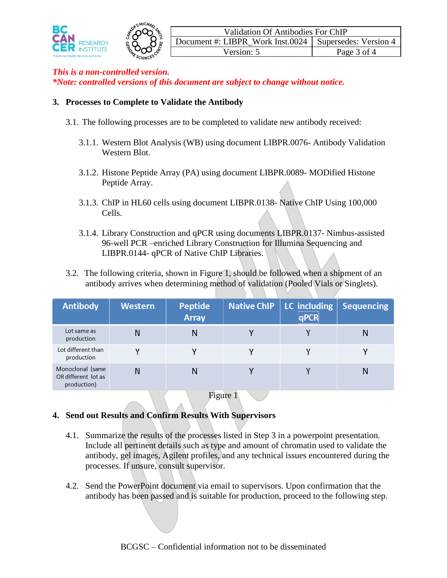

#### **3. Processes to Complete to Validate the Antibody**

- 3.1. The following processes are to be completed to validate new antibody received:
	- 3.1.1. Western Blot Analysis (WB) using document LIBPR.0076- Antibody Validation Western Blot.
	- 3.1.2. Histone Peptide Array (PA) using document LIBPR.0089- MODified Histone Peptide Array.
	- 3.1.3. ChIP in HL60 cells using document LIBPR.0138- Native ChIP Using 100,000 Cells.
	- 3.1.4. Library Construction and qPCR using documents LIBPR.0137- Nimbus-assisted 96-well PCR –enriched Library Construction for Illumina Sequencing and LIBPR.0144- qPCR of Native ChIP Libraries.
- 3.2. The following criteria, shown in Figure 1, should be followed when a shipment of an antibody arrives when determining method of validation (Pooled Vials or Singlets).

| <b>Antibody</b>                                        | <b>Western</b> | <b>Peptide</b><br><b>Array</b> | <b>Native ChIP</b> | LC including<br>qPCR | <b>Sequencing</b> |
|--------------------------------------------------------|----------------|--------------------------------|--------------------|----------------------|-------------------|
| Lot same as<br>production                              | Ν              |                                |                    |                      | N                 |
| Lot different than<br>production                       |                |                                |                    |                      |                   |
| Monoclonal (same<br>OR different lot as<br>production) | N              |                                |                    |                      |                   |

Figure 1

# **4. Send out Results and Confirm Results With Supervisors**

- 4.1. Summarize the results of the processes listed in Step 3 in a powerpoint presentation. Include all pertinent details such as type and amount of chromatin used to validate the antibody, gel images, Agilent profiles, and any technical issues encountered during the processes. If unsure, consult supervisor.
- 4.2. Send the PowerPoint document via email to supervisors. Upon confirmation that the antibody has been passed and is suitable for production, proceed to the following step.